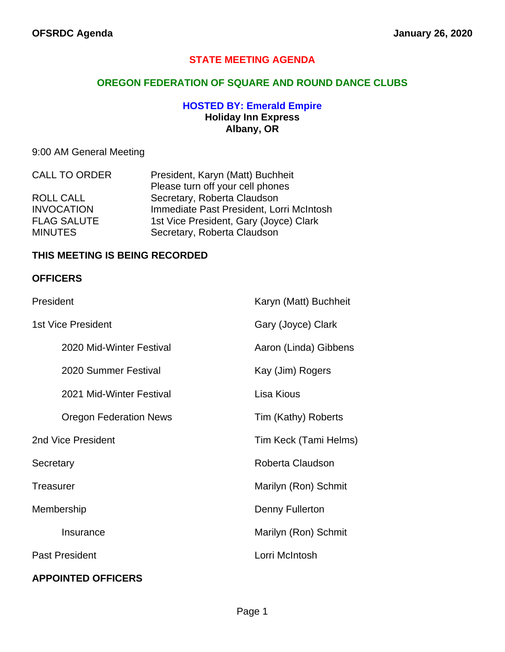# **STATE MEETING AGENDA**

## **OREGON FEDERATION OF SQUARE AND ROUND DANCE CLUBS**

## **HOSTED BY: Emerald Empire Holiday Inn Express Albany, OR**

# 9:00 AM General Meeting

| <b>CALL TO ORDER</b> | President, Karyn (Matt) Buchheit         |
|----------------------|------------------------------------------|
|                      | Please turn off your cell phones         |
| <b>ROLL CALL</b>     | Secretary, Roberta Claudson              |
| <b>INVOCATION</b>    | Immediate Past President, Lorri McIntosh |
| <b>FLAG SALUTE</b>   | 1st Vice President, Gary (Joyce) Clark   |
| <b>MINUTES</b>       | Secretary, Roberta Claudson              |

## **THIS MEETING IS BEING RECORDED**

### **OFFICERS**

| President                     | Karyn (Matt) Buchheit |
|-------------------------------|-----------------------|
| <b>1st Vice President</b>     | Gary (Joyce) Clark    |
| 2020 Mid-Winter Festival      | Aaron (Linda) Gibbens |
| 2020 Summer Festival          | Kay (Jim) Rogers      |
| 2021 Mid-Winter Festival      | Lisa Kious            |
| <b>Oregon Federation News</b> | Tim (Kathy) Roberts   |
| 2nd Vice President            | Tim Keck (Tami Helms) |
| Secretary                     | Roberta Claudson      |
| <b>Treasurer</b>              | Marilyn (Ron) Schmit  |
| Membership                    | Denny Fullerton       |
| Insurance                     | Marilyn (Ron) Schmit  |
| <b>Past President</b>         | Lorri McIntosh        |
| <b>APPOINTED OFFICERS</b>     |                       |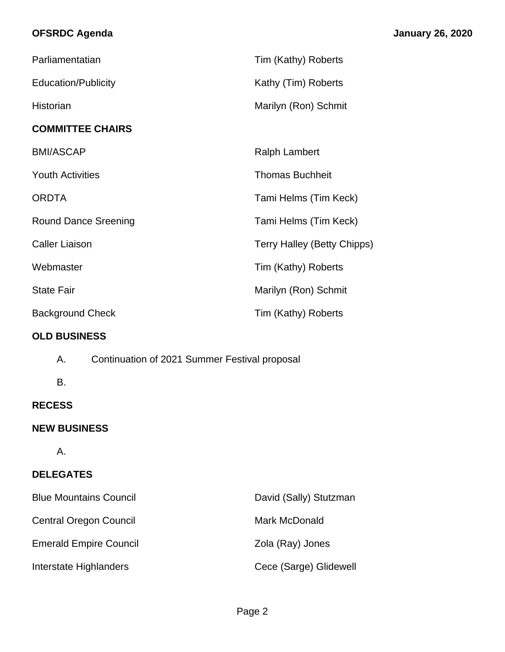# **OFSRDC Agenda January 26, 2020**

| Parliamentatian                                     | Tim (Kathy) Roberts         |
|-----------------------------------------------------|-----------------------------|
| <b>Education/Publicity</b>                          | Kathy (Tim) Roberts         |
| Historian                                           | Marilyn (Ron) Schmit        |
| <b>COMMITTEE CHAIRS</b>                             |                             |
| <b>BMI/ASCAP</b>                                    | <b>Ralph Lambert</b>        |
| <b>Youth Activities</b>                             | <b>Thomas Buchheit</b>      |
| <b>ORDTA</b>                                        | Tami Helms (Tim Keck)       |
| <b>Round Dance Sreening</b>                         | Tami Helms (Tim Keck)       |
| <b>Caller Liaison</b>                               | Terry Halley (Betty Chipps) |
| Webmaster                                           | Tim (Kathy) Roberts         |
| <b>State Fair</b>                                   | Marilyn (Ron) Schmit        |
| <b>Background Check</b>                             | Tim (Kathy) Roberts         |
| <b>OLD BUSINESS</b>                                 |                             |
| Α.<br>Continuation of 2021 Summer Festival proposal |                             |
| В.                                                  |                             |
| <b>RECESS</b>                                       |                             |
| <b>NEW BUSINESS</b>                                 |                             |
| Α.                                                  |                             |
| <b>DELEGATES</b>                                    |                             |
| <b>Blue Mountains Council</b>                       | David (Sally) Stutzman      |
| <b>Central Oregon Council</b>                       | Mark McDonald               |
| <b>Emerald Empire Council</b>                       | Zola (Ray) Jones            |
| Interstate Highlanders                              | Cece (Sarge) Glidewell      |